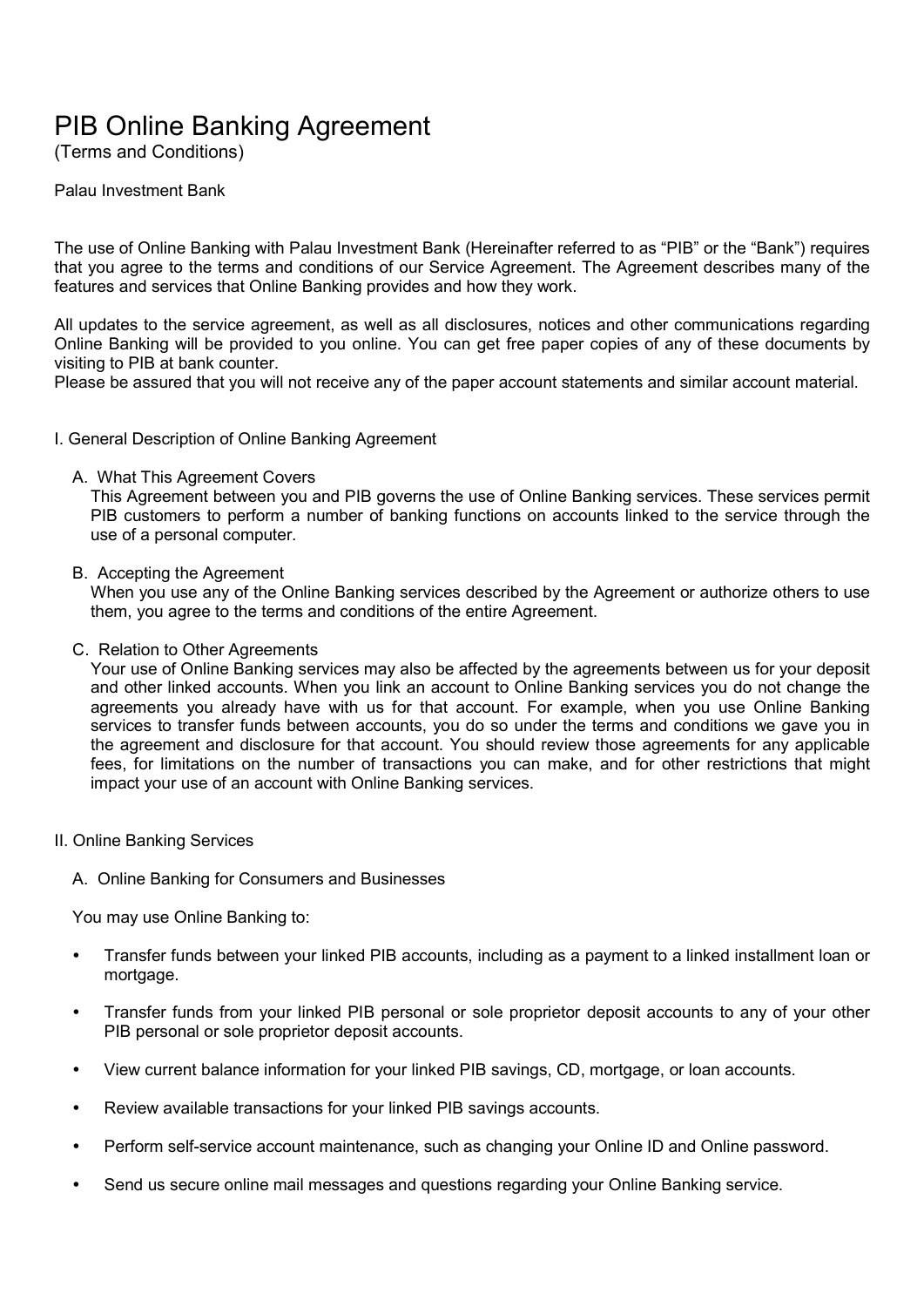# PIB Online Banking Agreement

(Terms and Conditions)

Palau Investment Bank

The use of Online Banking with Palau Investment Bank (Hereinafter referred to as "PIB" or the "Bank") requires that you agree to the terms and conditions of our Service Agreement. The Agreement describes many of the features and services that Online Banking provides and how they work.

All updates to the service agreement, as well as all disclosures, notices and other communications regarding Online Banking will be provided to you online. You can get free paper copies of any of these documents by visiting to PIB at bank counter.

Please be assured that you will not receive any of the paper account statements and similar account material.

- I. General Description of Online Banking Agreement
	- A. What This Agreement Covers

This Agreement between you and PIB governs the use of Online Banking services. These services permit PIB customers to perform a number of banking functions on accounts linked to the service through the use of a personal computer.

B. Accepting the Agreement

When you use any of the Online Banking services described by the Agreement or authorize others to use them, you agree to the terms and conditions of the entire Agreement.

C. Relation to Other Agreements

Your use of Online Banking services may also be affected by the agreements between us for your deposit and other linked accounts. When you link an account to Online Banking services you do not change the agreements you already have with us for that account. For example, when you use Online Banking services to transfer funds between accounts, you do so under the terms and conditions we gave you in the agreement and disclosure for that account. You should review those agreements for any applicable fees, for limitations on the number of transactions you can make, and for other restrictions that might impact your use of an account with Online Banking services.

- II. Online Banking Services
	- A. Online Banking for Consumers and Businesses

You may use Online Banking to:

- Transfer funds between your linked PIB accounts, including as a payment to a linked installment loan or mortgage.
- Transfer funds from your linked PIB personal or sole proprietor deposit accounts to any of your other PIB personal or sole proprietor deposit accounts.
- View current balance information for your linked PIB savings, CD, mortgage, or loan accounts.
- Review available transactions for your linked PIB savings accounts.
- Perform self-service account maintenance, such as changing your Online ID and Online password.
- Send us secure online mail messages and questions regarding your Online Banking service.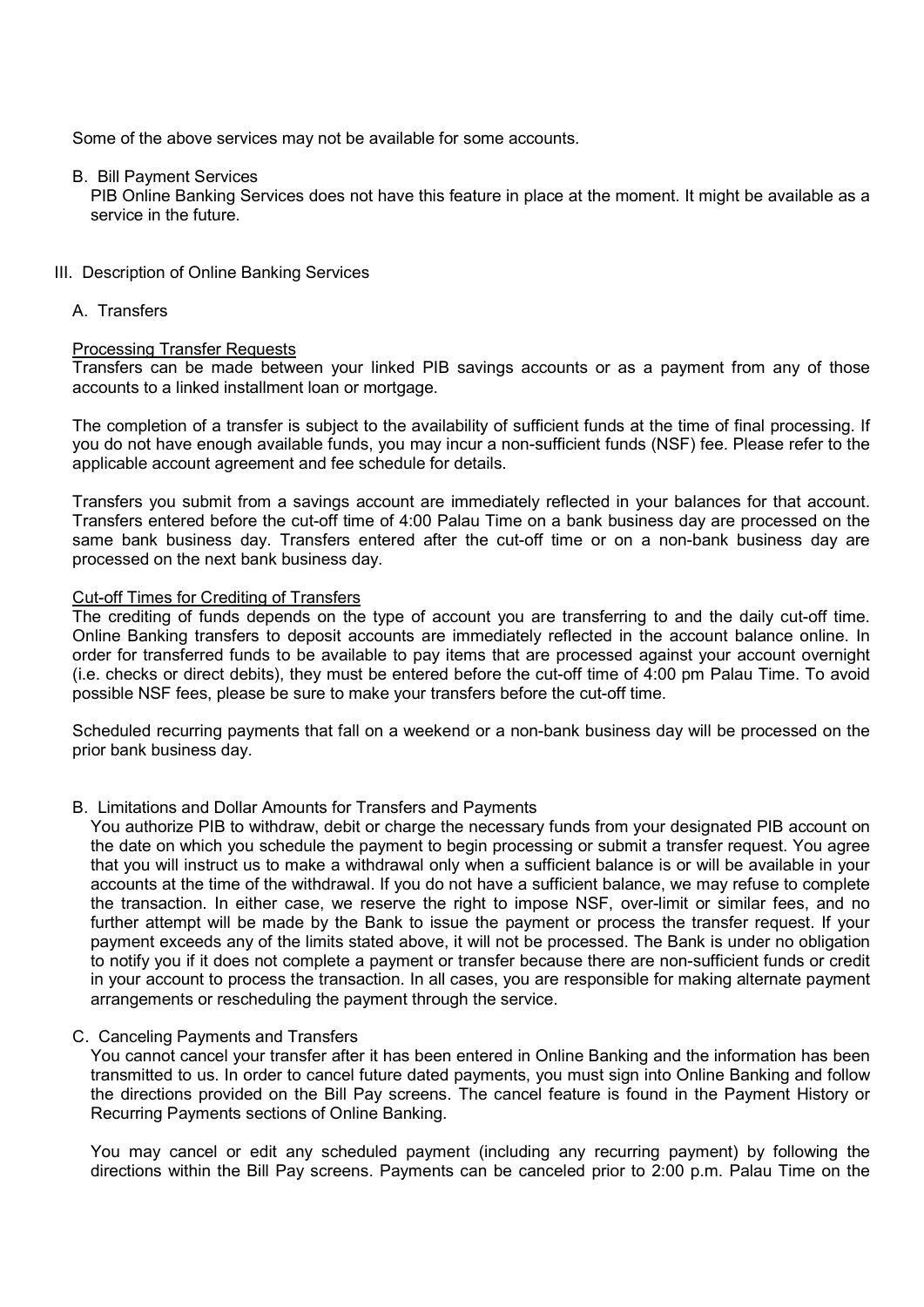Some of the above services may not be available for some accounts.

# B. Bill Payment Services

PIB Online Banking Services does not have this feature in place at the moment. It might be available as a service in the future.

# III. Description of Online Banking Services

A. Transfers

# Processing Transfer Requests

Transfers can be made between your linked PIB savings accounts or as a payment from any of those accounts to a linked installment loan or mortgage.

The completion of a transfer is subject to the availability of sufficient funds at the time of final processing. If you do not have enough available funds, you may incur a non-sufficient funds (NSF) fee. Please refer to the applicable account agreement and fee schedule for details.

Transfers you submit from a savings account are immediately reflected in your balances for that account. Transfers entered before the cut-off time of 4:00 Palau Time on a bank business day are processed on the same bank business day. Transfers entered after the cut-off time or on a non-bank business day are processed on the next bank business day.

# Cut-off Times for Crediting of Transfers

The crediting of funds depends on the type of account you are transferring to and the daily cut-off time. Online Banking transfers to deposit accounts are immediately reflected in the account balance online. In order for transferred funds to be available to pay items that are processed against your account overnight (i.e. checks or direct debits), they must be entered before the cut-off time of 4:00 pm Palau Time. To avoid possible NSF fees, please be sure to make your transfers before the cut-off time.

Scheduled recurring payments that fall on a weekend or a non-bank business day will be processed on the prior bank business day.

# B. Limitations and Dollar Amounts for Transfers and Payments

You authorize PIB to withdraw, debit or charge the necessary funds from your designated PIB account on the date on which you schedule the payment to begin processing or submit a transfer request. You agree that you will instruct us to make a withdrawal only when a sufficient balance is or will be available in your accounts at the time of the withdrawal. If you do not have a sufficient balance, we may refuse to complete the transaction. In either case, we reserve the right to impose NSF, over-limit or similar fees, and no further attempt will be made by the Bank to issue the payment or process the transfer request. If your payment exceeds any of the limits stated above, it will not be processed. The Bank is under no obligation to notify you if it does not complete a payment or transfer because there are non-sufficient funds or credit in your account to process the transaction. In all cases, you are responsible for making alternate payment arrangements or rescheduling the payment through the service.

# C. Canceling Payments and Transfers

You cannot cancel your transfer after it has been entered in Online Banking and the information has been transmitted to us. In order to cancel future dated payments, you must sign into Online Banking and follow the directions provided on the Bill Pay screens. The cancel feature is found in the Payment History or Recurring Payments sections of Online Banking.

You may cancel or edit any scheduled payment (including any recurring payment) by following the directions within the Bill Pay screens. Payments can be canceled prior to 2:00 p.m. Palau Time on the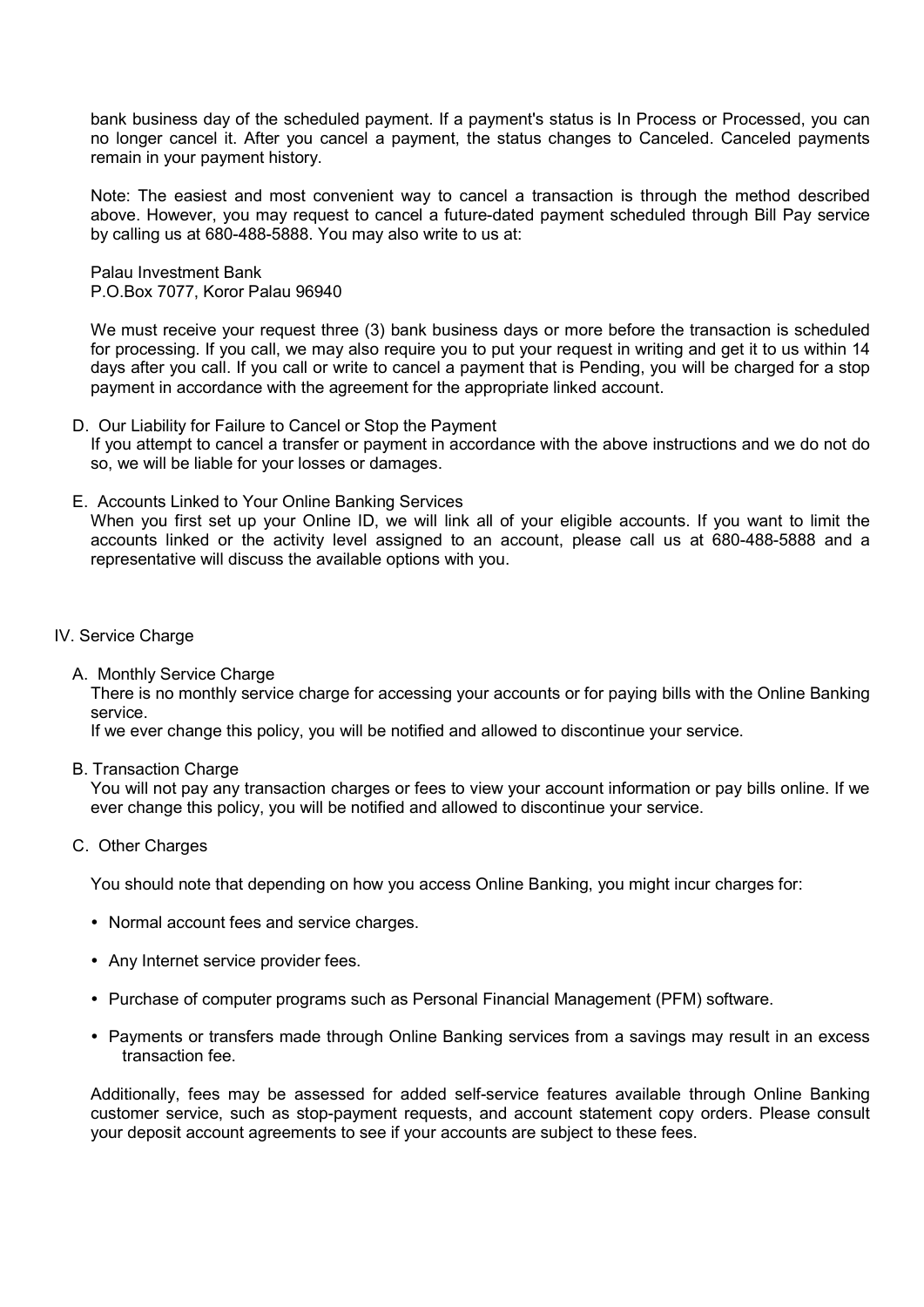bank business day of the scheduled payment. If a payment's status is In Process or Processed, you can no longer cancel it. After you cancel a payment, the status changes to Canceled. Canceled payments remain in your payment history.

Note: The easiest and most convenient way to cancel a transaction is through the method described above. However, you may request to cancel a future-dated payment scheduled through Bill Pay service by calling us at 680-488-5888. You may also write to us at:

Palau Investment Bank P.O.Box 7077, Koror Palau 96940

We must receive your request three (3) bank business days or more before the transaction is scheduled for processing. If you call, we may also require you to put your request in writing and get it to us within 14 days after you call. If you call or write to cancel a payment that is Pending, you will be charged for a stop payment in accordance with the agreement for the appropriate linked account.

- D. Our Liability for Failure to Cancel or Stop the Payment If you attempt to cancel a transfer or payment in accordance with the above instructions and we do not do so, we will be liable for your losses or damages.
- E. Accounts Linked to Your Online Banking Services When you first set up your Online ID, we will link all of your eligible accounts. If you want to limit the accounts linked or the activity level assigned to an account, please call us at 680-488-5888 and a representative will discuss the available options with you.
- IV. Service Charge
	- A. Monthly Service Charge

There is no monthly service charge for accessing your accounts or for paying bills with the Online Banking service.

If we ever change this policy, you will be notified and allowed to discontinue your service.

B. Transaction Charge

You will not pay any transaction charges or fees to view your account information or pay bills online. If we ever change this policy, you will be notified and allowed to discontinue your service.

C. Other Charges

You should note that depending on how you access Online Banking, you might incur charges for:

- Normal account fees and service charges.
- Any Internet service provider fees.
- Purchase of computer programs such as Personal Financial Management (PFM) software.
- Payments or transfers made through Online Banking services from a savings may result in an excess transaction fee.

Additionally, fees may be assessed for added self-service features available through Online Banking customer service, such as stop-payment requests, and account statement copy orders. Please consult your deposit account agreements to see if your accounts are subject to these fees.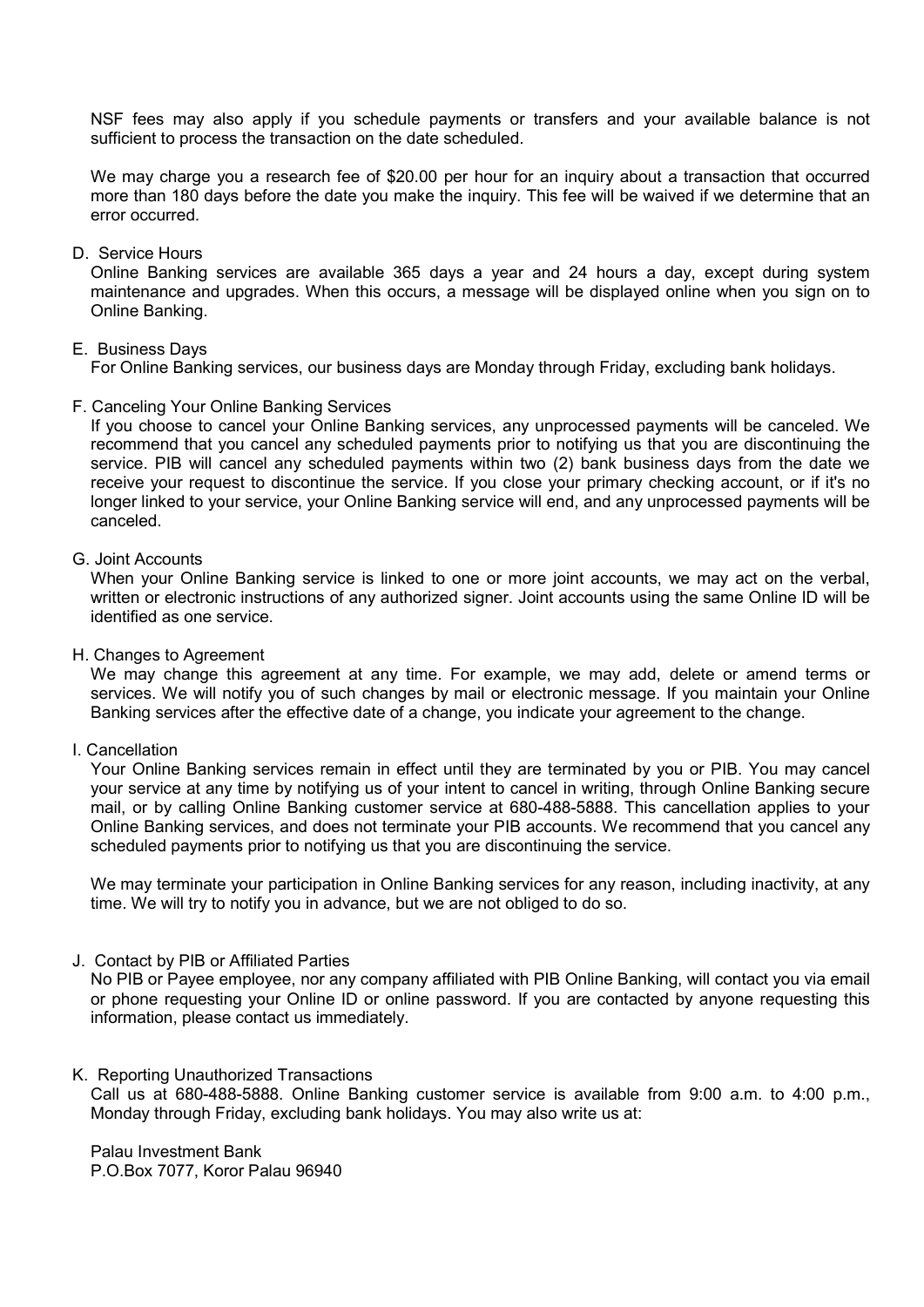NSF fees may also apply if you schedule payments or transfers and your available balance is not sufficient to process the transaction on the date scheduled.

We may charge you a research fee of \$20.00 per hour for an inquiry about a transaction that occurred more than 180 days before the date you make the inquiry. This fee will be waived if we determine that an error occurred.

## D. Service Hours

Online Banking services are available 365 days a year and 24 hours a day, except during system maintenance and upgrades. When this occurs, a message will be displayed online when you sign on to Online Banking.

#### E. Business Days

For Online Banking services, our business days are Monday through Friday, excluding bank holidays.

#### F. Canceling Your Online Banking Services

If you choose to cancel your Online Banking services, any unprocessed payments will be canceled. We recommend that you cancel any scheduled payments prior to notifying us that you are discontinuing the service. PIB will cancel any scheduled payments within two (2) bank business days from the date we receive your request to discontinue the service. If you close your primary checking account, or if it's no longer linked to your service, your Online Banking service will end, and any unprocessed payments will be canceled.

# G. Joint Accounts

When your Online Banking service is linked to one or more joint accounts, we may act on the verbal, written or electronic instructions of any authorized signer. Joint accounts using the same Online ID will be identified as one service.

#### H. Changes to Agreement

We may change this agreement at any time. For example, we may add, delete or amend terms or services. We will notify you of such changes by mail or electronic message. If you maintain your Online Banking services after the effective date of a change, you indicate your agreement to the change.

#### I. Cancellation

Your Online Banking services remain in effect until they are terminated by you or PIB. You may cancel your service at any time by notifying us of your intent to cancel in writing, through Online Banking secure mail, or by calling Online Banking customer service at 680-488-5888. This cancellation applies to your Online Banking services, and does not terminate your PIB accounts. We recommend that you cancel any scheduled payments prior to notifying us that you are discontinuing the service.

We may terminate your participation in Online Banking services for any reason, including inactivity, at any time. We will try to notify you in advance, but we are not obliged to do so.

#### J. Contact by PIB or Affiliated Parties

No PIB or Payee employee, nor any company affiliated with PIB Online Banking, will contact you via email or phone requesting your Online ID or online password. If you are contacted by anyone requesting this information, please contact us immediately.

#### K. Reporting Unauthorized Transactions

Call us at 680-488-5888. Online Banking customer service is available from 9:00 a.m. to 4:00 p.m., Monday through Friday, excluding bank holidays. You may also write us at:

Palau Investment Bank P.O.Box 7077, Koror Palau 96940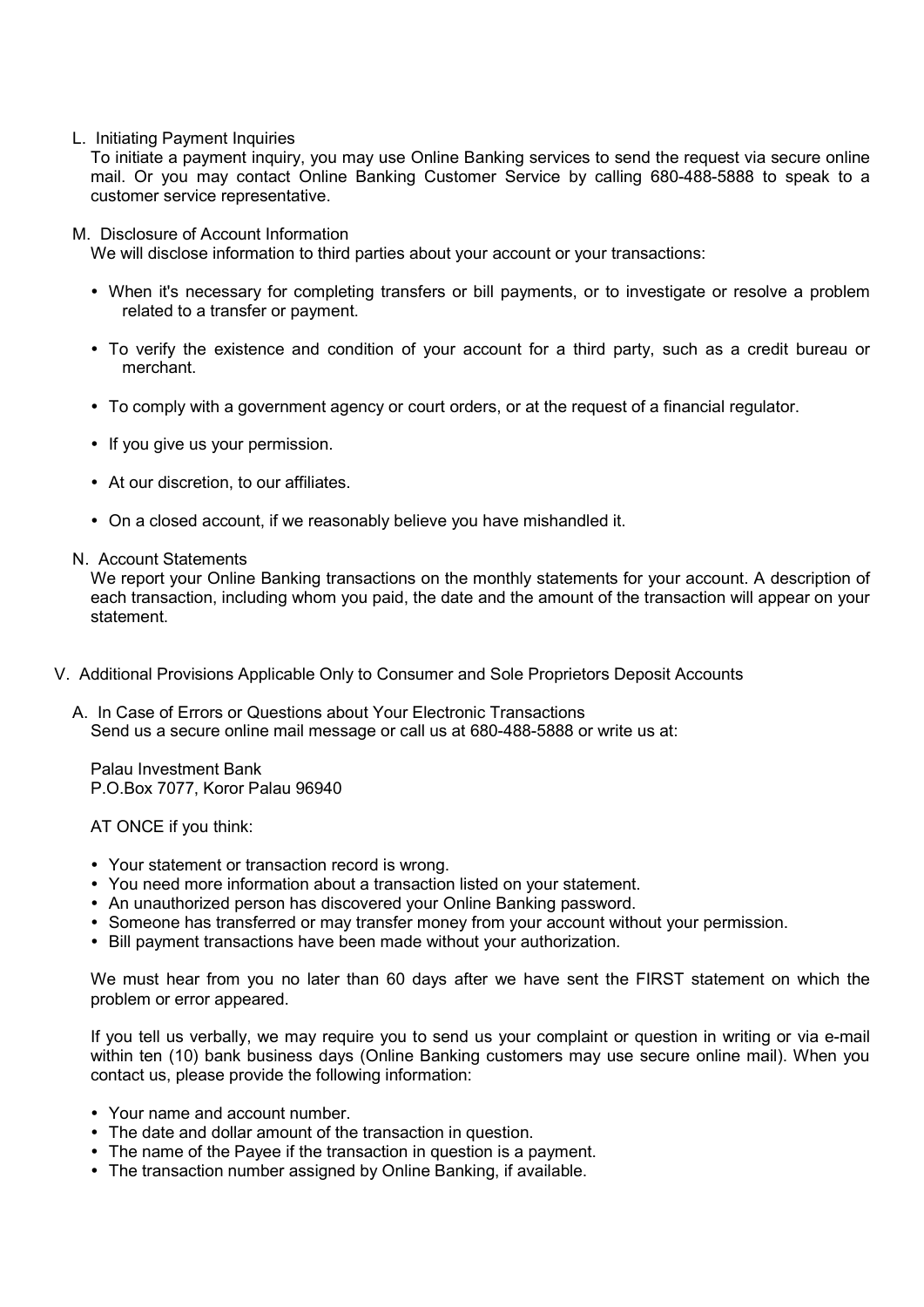L. Initiating Payment Inquiries

To initiate a payment inquiry, you may use Online Banking services to send the request via secure online mail. Or you may contact Online Banking Customer Service by calling 680-488-5888 to speak to a customer service representative.

M. Disclosure of Account Information

We will disclose information to third parties about your account or your transactions:

- When it's necessary for completing transfers or bill payments, or to investigate or resolve a problem related to a transfer or payment.
- To verify the existence and condition of your account for a third party, such as a credit bureau or merchant.
- To comply with a government agency or court orders, or at the request of a financial regulator.
- If you give us your permission.
- At our discretion, to our affiliates.
- On a closed account, if we reasonably believe you have mishandled it.
- N. Account Statements

We report your Online Banking transactions on the monthly statements for your account. A description of each transaction, including whom you paid, the date and the amount of the transaction will appear on your statement.

- V. Additional Provisions Applicable Only to Consumer and Sole Proprietors Deposit Accounts
	- A. In Case of Errors or Questions about Your Electronic Transactions Send us a secure online mail message or call us at 680-488-5888 or write us at:

Palau Investment Bank P.O.Box 7077, Koror Palau 96940

AT ONCE if you think:

- Your statement or transaction record is wrong.
- You need more information about a transaction listed on your statement.
- An unauthorized person has discovered your Online Banking password.
- Someone has transferred or may transfer money from your account without your permission.
- Bill payment transactions have been made without your authorization.

We must hear from you no later than 60 days after we have sent the FIRST statement on which the problem or error appeared.

If you tell us verbally, we may require you to send us your complaint or question in writing or via e-mail within ten (10) bank business days (Online Banking customers may use secure online mail). When you contact us, please provide the following information:

- Your name and account number.
- The date and dollar amount of the transaction in question.
- The name of the Payee if the transaction in question is a payment.
- The transaction number assigned by Online Banking, if available.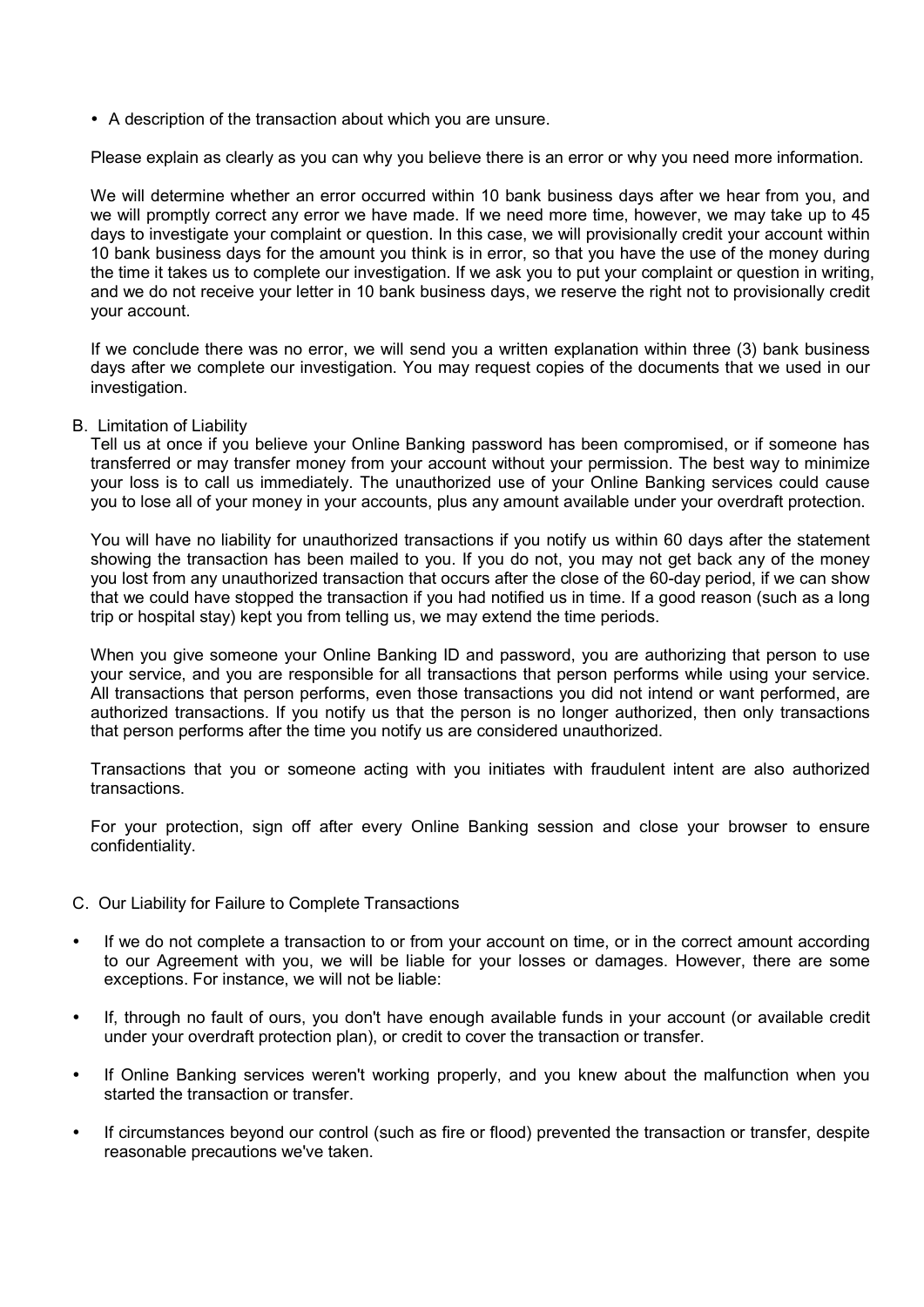A description of the transaction about which you are unsure.

Please explain as clearly as you can why you believe there is an error or why you need more information.

We will determine whether an error occurred within 10 bank business days after we hear from you, and we will promptly correct any error we have made. If we need more time, however, we may take up to 45 days to investigate your complaint or question. In this case, we will provisionally credit your account within 10 bank business days for the amount you think is in error, so that you have the use of the money during the time it takes us to complete our investigation. If we ask you to put your complaint or question in writing, and we do not receive your letter in 10 bank business days, we reserve the right not to provisionally credit your account.

If we conclude there was no error, we will send you a written explanation within three (3) bank business days after we complete our investigation. You may request copies of the documents that we used in our investigation.

# B. Limitation of Liability

Tell us at once if you believe your Online Banking password has been compromised, or if someone has transferred or may transfer money from your account without your permission. The best way to minimize your loss is to call us immediately. The unauthorized use of your Online Banking services could cause you to lose all of your money in your accounts, plus any amount available under your overdraft protection.

You will have no liability for unauthorized transactions if you notify us within 60 days after the statement showing the transaction has been mailed to you. If you do not, you may not get back any of the money you lost from any unauthorized transaction that occurs after the close of the 60-day period, if we can show that we could have stopped the transaction if you had notified us in time. If a good reason (such as a long trip or hospital stay) kept you from telling us, we may extend the time periods.

When you give someone your Online Banking ID and password, you are authorizing that person to use your service, and you are responsible for all transactions that person performs while using your service. All transactions that person performs, even those transactions you did not intend or want performed, are authorized transactions. If you notify us that the person is no longer authorized, then only transactions that person performs after the time you notify us are considered unauthorized.

Transactions that you or someone acting with you initiates with fraudulent intent are also authorized transactions.

For your protection, sign off after every Online Banking session and close your browser to ensure confidentiality.

- C. Our Liability for Failure to Complete Transactions
- If we do not complete a transaction to or from your account on time, or in the correct amount according to our Agreement with you, we will be liable for your losses or damages. However, there are some exceptions. For instance, we will not be liable:
- If, through no fault of ours, you don't have enough available funds in your account (or available credit under your overdraft protection plan), or credit to cover the transaction or transfer.
- If Online Banking services weren't working properly, and you knew about the malfunction when you started the transaction or transfer.
- If circumstances beyond our control (such as fire or flood) prevented the transaction or transfer, despite reasonable precautions we've taken.